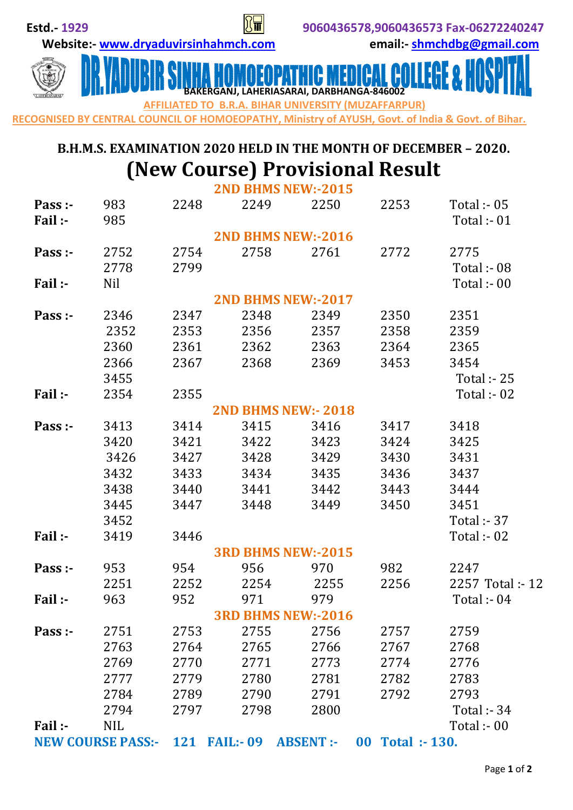**Website:- [www.dryaduvirsinhahmch.com](http://www.dryaduvirsinhahmch.com/) email:- [shmchdbg@gmail.com](mailto:shmchdbg@gmail.com)**



 **BAKERGANJ, LAHERIASARAI, DARBHANGA-846002 IATED TO B.R.A. BIHAR UNIVERSITY (MUZAFFARPUR)** 

**RECOGNISED BY CENTRAL COUNCIL OF HOMOEOPATHY, Ministry of AYUSH, Govt. of India & Govt. of Bihar.** 

## **B.H.M.S. EXAMINATION 2020 HELD IN THE MONTH OF DECEMBER – 2020. (New Course) Provisional Result**

|                          |            |      |                     | <b>2ND BHMS NEW:-2015</b> |                                  |                                |
|--------------------------|------------|------|---------------------|---------------------------|----------------------------------|--------------------------------|
| Pass :-<br>Fail :-       | 983<br>985 | 2248 | 2249                | 2250                      | 2253                             | Total :- $05$<br>Total :- $01$ |
|                          |            |      |                     | <b>2ND BHMS NEW:-2016</b> |                                  |                                |
| Pass :-                  | 2752       | 2754 | 2758                | 2761                      | 2772                             | 2775                           |
|                          | 2778       | 2799 |                     |                           |                                  | Total :- $08$                  |
| Fail:-                   | <b>Nil</b> |      |                     |                           |                                  | Total :- $00$                  |
|                          |            |      |                     | <b>2ND BHMS NEW:-2017</b> |                                  |                                |
| Pass :-                  | 2346       | 2347 | 2348                | 2349                      | 2350                             | 2351                           |
|                          | 2352       | 2353 | 2356                | 2357                      | 2358                             | 2359                           |
|                          | 2360       | 2361 | 2362                | 2363                      | 2364                             | 2365                           |
|                          | 2366       | 2367 | 2368                | 2369                      | 3453                             | 3454                           |
|                          | 3455       |      |                     |                           |                                  | <b>Total :- 25</b>             |
| Fail:-                   | 2354       | 2355 |                     |                           |                                  | Total :- $02$                  |
|                          |            |      |                     | <b>2ND BHMS NEW:-2018</b> |                                  |                                |
| Pass :-                  | 3413       | 3414 | 3415                | 3416                      | 3417                             | 3418                           |
|                          | 3420       | 3421 | 3422                | 3423                      | 3424                             | 3425                           |
|                          | 3426       | 3427 | 3428                | 3429                      | 3430                             | 3431                           |
|                          | 3432       | 3433 | 3434                | 3435                      | 3436                             | 3437                           |
|                          | 3438       | 3440 | 3441                | 3442                      | 3443                             | 3444                           |
|                          | 3445       | 3447 | 3448                | 3449                      | 3450                             | 3451                           |
|                          | 3452       |      |                     |                           |                                  | <b>Total :- 37</b>             |
| Fail :-                  | 3419       | 3446 |                     |                           |                                  | Total :- 02                    |
|                          |            |      |                     | <b>3RD BHMS NEW:-2015</b> |                                  |                                |
| Pass :-                  | 953        | 954  | 956                 | 970                       | 982                              | 2247                           |
|                          | 2251       | 2252 | 2254                | 2255                      | 2256                             | 2257 Total: - 12               |
| Fail:-                   | 963        | 952  | 971                 | 979                       |                                  | Total :- $04$                  |
|                          |            |      |                     | 3RD BHMS NEW:-2016        |                                  |                                |
| Pass :-                  | 2751       | 2753 | 2755                | 2756                      | 2757                             | 2759                           |
|                          | 2763       | 2764 | 2765                | 2766                      | 2767                             | 2768                           |
|                          | 2769       | 2770 | 2771                | 2773                      | 2774                             | 2776                           |
|                          | 2777       | 2779 | 2780                | 2781                      | 2782                             | 2783                           |
|                          | 2784       | 2789 | 2790                | 2791                      | 2792                             | 2793                           |
|                          | 2794       | 2797 | 2798                | 2800                      |                                  | <b>Total :- 34</b>             |
| Fail:-                   | <b>NIL</b> |      |                     |                           |                                  | Total :- 00                    |
| <b>NEW COURSE PASS:-</b> |            |      | <b>121 FAIL:-09</b> | <b>ABSENT:-</b>           | $\bf{00}$<br><b>Total :-130.</b> |                                |